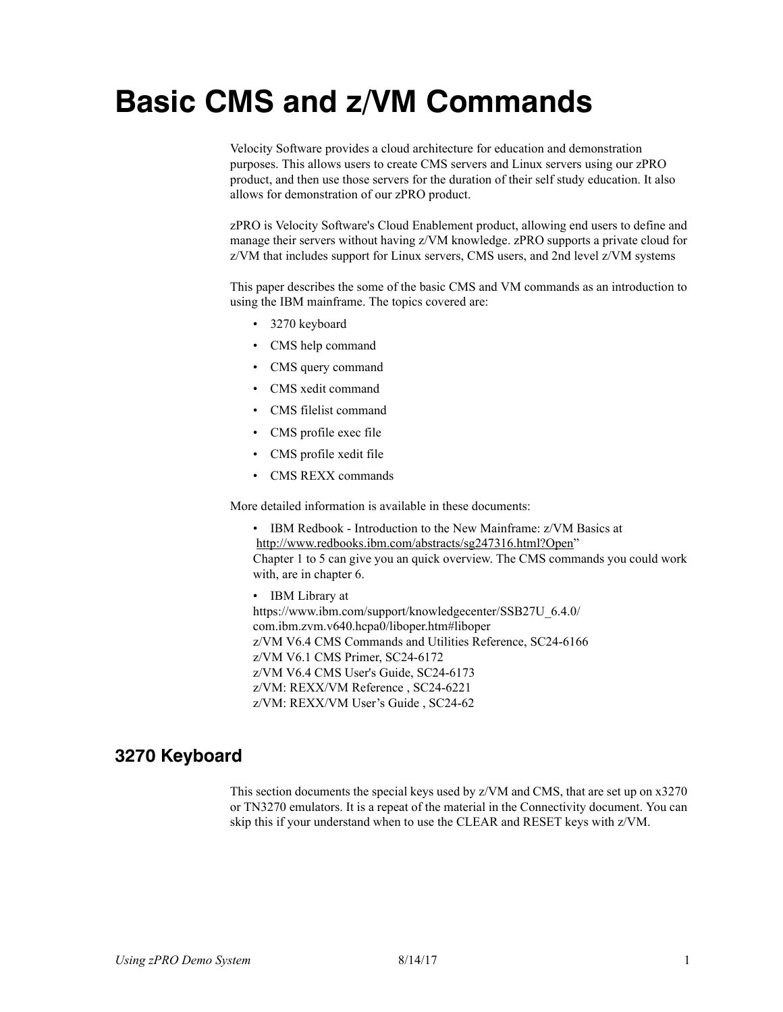# **Basic CMS and z/VM Commands**

Velocity Software provides a cloud architecture for education and demonstration purposes. This allows users to create CMS servers and Linux servers using our zPRO product, and then use those servers for the duration of their self study education. It also allows for demonstration of our zPRO product.

zPRO is Velocity Software's Cloud Enablement product, allowing end users to define and manage their servers without having z/VM knowledge. zPRO supports a private cloud for z/VM that includes support for Linux servers, CMS users, and 2nd level z/VM systems

This paper describes the some of the basic CMS and VM commands as an introduction to using the IBM mainframe. The topics covered are:

- 3270 keyboard
- CMS help command
- CMS query command
- CMS xedit command
- CMS filelist command
- CMS profile exec file
- CMS profile xedit file
- CMS REXX commands

More detailed information is available in these documents:

• IBM Redbook - Introduction to the New Mainframe: z/VM Basics at http://www.redbooks.ibm.com/abstracts/sg247316.html?Open"

Chapter 1 to 5 can give you an quick overview. The CMS commands you could work with, are in chapter 6.

• IBM Library at

https://www.ibm.com/support/knowledgecenter/SSB27U\_6.4.0/ com.ibm.zvm.v640.hcpa0/liboper.htm#liboper z/VM V6.4 CMS Commands and Utilities Reference, SC24-6166 z/VM V6.1 CMS Primer, SC24-6172 z/VM V6.4 CMS User's Guide, SC24-6173 z/VM: REXX/VM Reference , SC24-6221 z/VM: REXX/VM User's Guide , SC24-62

# **3270 Keyboard**

This section documents the special keys used by z/VM and CMS, that are set up on x3270 or TN3270 emulators. It is a repeat of the material in the Connectivity document. You can skip this if your understand when to use the CLEAR and RESET keys with z/VM.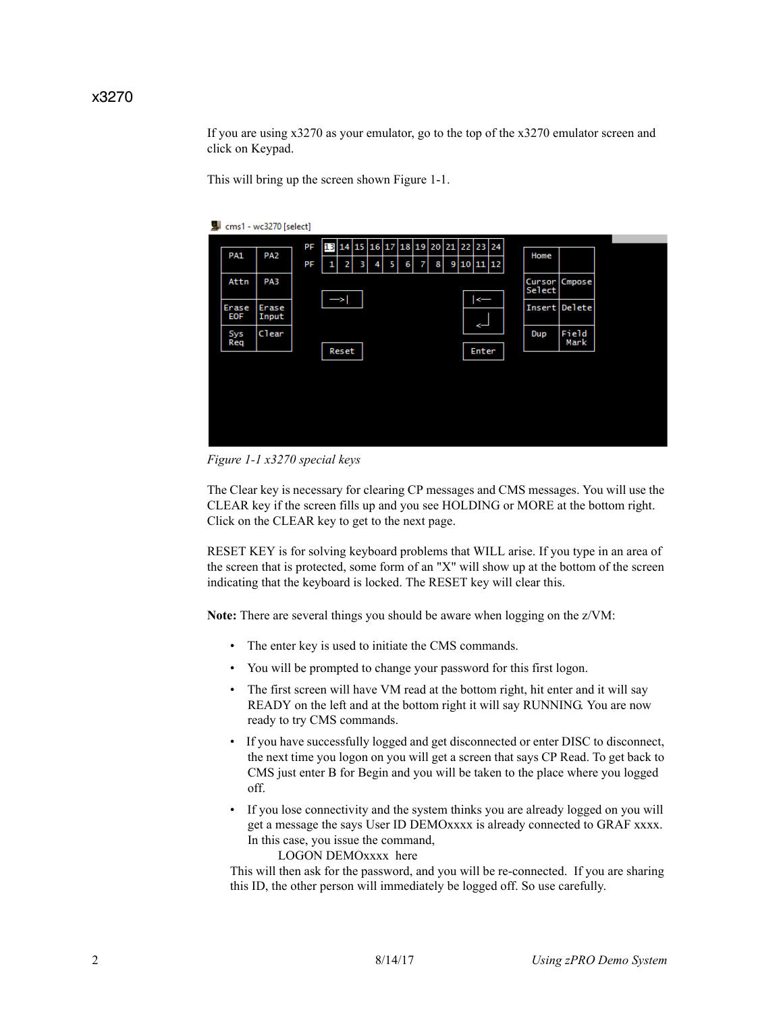#### x3270

If you are using x3270 as your emulator, go to the top of the x3270 emulator screen and click on Keypad.

This will bring up the screen shown [Figure 1-1.](#page-1-0)



<span id="page-1-0"></span>*Figure 1-1 x3270 special keys*

The Clear key is necessary for clearing CP messages and CMS messages. You will use the CLEAR key if the screen fills up and you see HOLDING or MORE at the bottom right. Click on the CLEAR key to get to the next page.

RESET KEY is for solving keyboard problems that WILL arise. If you type in an area of the screen that is protected, some form of an "X" will show up at the bottom of the screen indicating that the keyboard is locked. The RESET key will clear this.

**Note:** There are several things you should be aware when logging on the z/VM:

- The enter key is used to initiate the CMS commands.
- You will be prompted to change your password for this first logon.
- The first screen will have VM read at the bottom right, hit enter and it will say READY on the left and at the bottom right it will say RUNNING. You are now ready to try CMS commands.
- If you have successfully logged and get disconnected or enter DISC to disconnect, the next time you logon on you will get a screen that says CP Read. To get back to CMS just enter B for Begin and you will be taken to the place where you logged off.
- If you lose connectivity and the system thinks you are already logged on you will get a message the says User ID DEMOxxxx is already connected to GRAF xxxx. In this case, you issue the command,

LOGON DEMOxxxx here

This will then ask for the password, and you will be re-connected. If you are sharing this ID, the other person will immediately be logged off. So use carefully.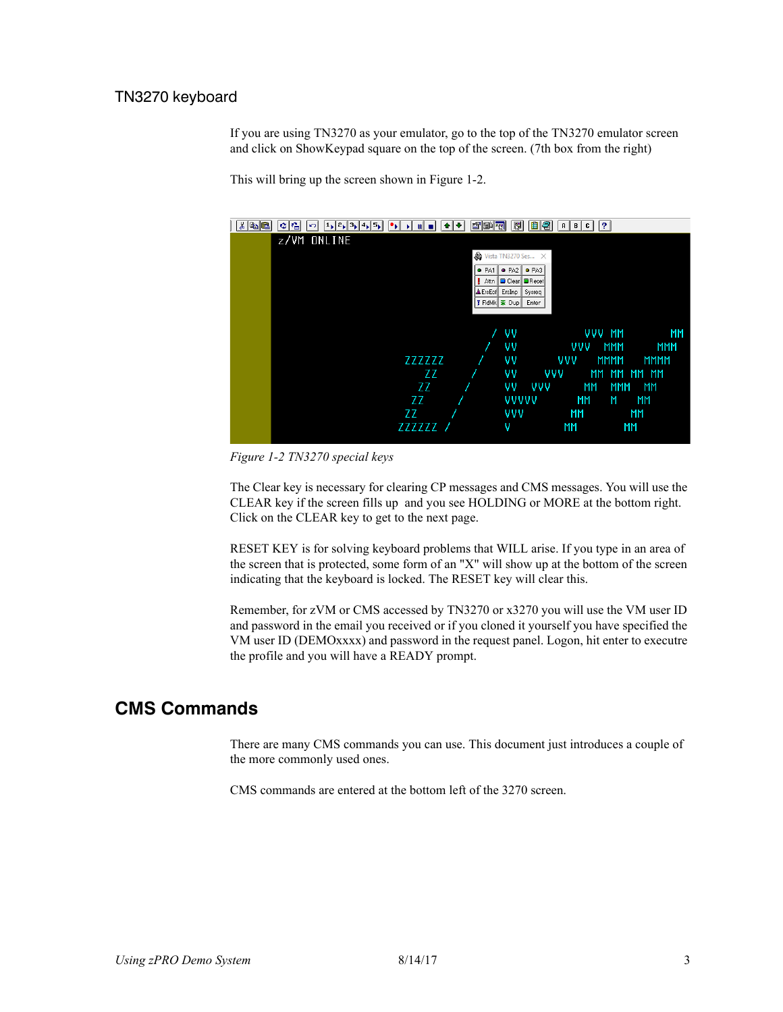## TN3270 keyboard

If you are using TN3270 as your emulator, go to the top of the TN3270 emulator screen and click on ShowKeypad square on the top of the screen. (7th box from the right)

This will bring up the screen shown in [Figure 1-2.](#page-2-0)



<span id="page-2-0"></span>*Figure 1-2 TN3270 special keys*

The Clear key is necessary for clearing CP messages and CMS messages. You will use the CLEAR key if the screen fills up and you see HOLDING or MORE at the bottom right. Click on the CLEAR key to get to the next page.

RESET KEY is for solving keyboard problems that WILL arise. If you type in an area of the screen that is protected, some form of an "X" will show up at the bottom of the screen indicating that the keyboard is locked. The RESET key will clear this.

Remember, for zVM or CMS accessed by TN3270 or x3270 you will use the VM user ID and password in the email you received or if you cloned it yourself you have specified the VM user ID (DEMOxxxx) and password in the request panel. Logon, hit enter to executre the profile and you will have a READY prompt.

# **CMS Commands**

There are many CMS commands you can use. This document just introduces a couple of the more commonly used ones.

CMS commands are entered at the bottom left of the 3270 screen.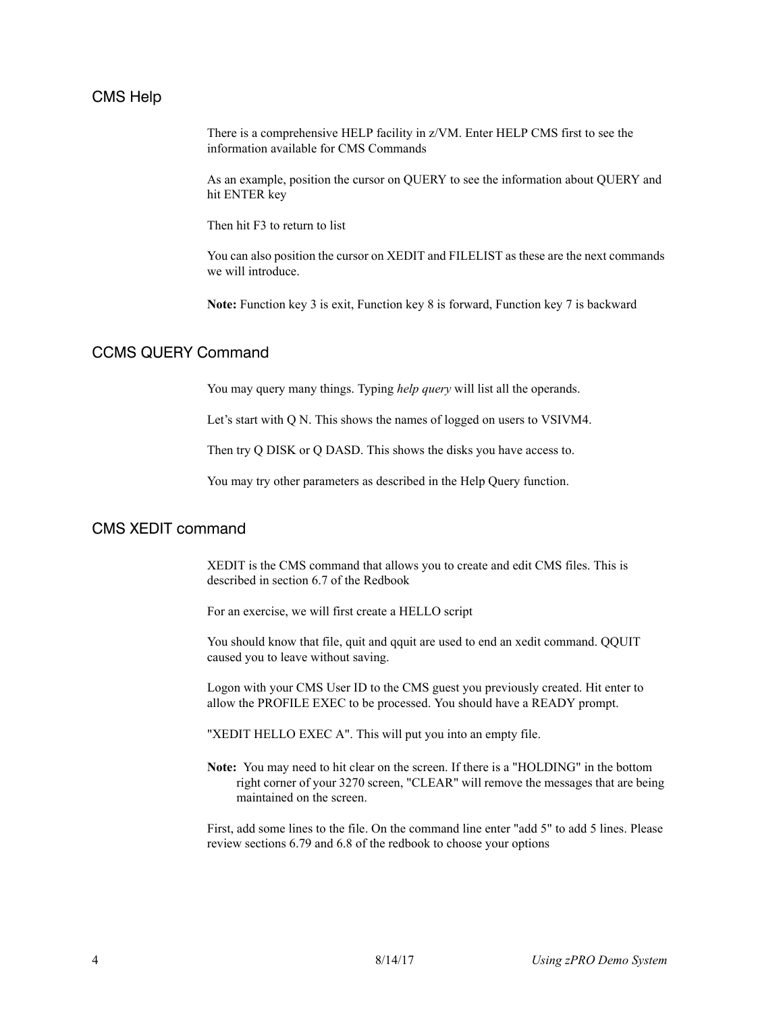#### CMS Help

There is a comprehensive HELP facility in z/VM. Enter HELP CMS first to see the information available for CMS Commands

As an example, position the cursor on QUERY to see the information about QUERY and hit ENTER key

Then hit F3 to return to list

You can also position the cursor on XEDIT and FILELIST as these are the next commands we will introduce.

**Note:** Function key 3 is exit, Function key 8 is forward, Function key 7 is backward

## CCMS QUERY Command

You may query many things. Typing *help query* will list all the operands.

Let's start with Q N. This shows the names of logged on users to VSIVM4.

Then try Q DISK or Q DASD. This shows the disks you have access to.

You may try other parameters as described in the Help Query function.

## CMS XEDIT command

XEDIT is the CMS command that allows you to create and edit CMS files. This is described in section 6.7 of the Redbook

For an exercise, we will first create a HELLO script

You should know that file, quit and qquit are used to end an xedit command. QQUIT caused you to leave without saving.

Logon with your CMS User ID to the CMS guest you previously created. Hit enter to allow the PROFILE EXEC to be processed. You should have a READY prompt.

"XEDIT HELLO EXEC A". This will put you into an empty file.

**Note:** You may need to hit clear on the screen. If there is a "HOLDING" in the bottom right corner of your 3270 screen, "CLEAR" will remove the messages that are being maintained on the screen.

First, add some lines to the file. On the command line enter "add 5" to add 5 lines. Please review sections 6.79 and 6.8 of the redbook to choose your options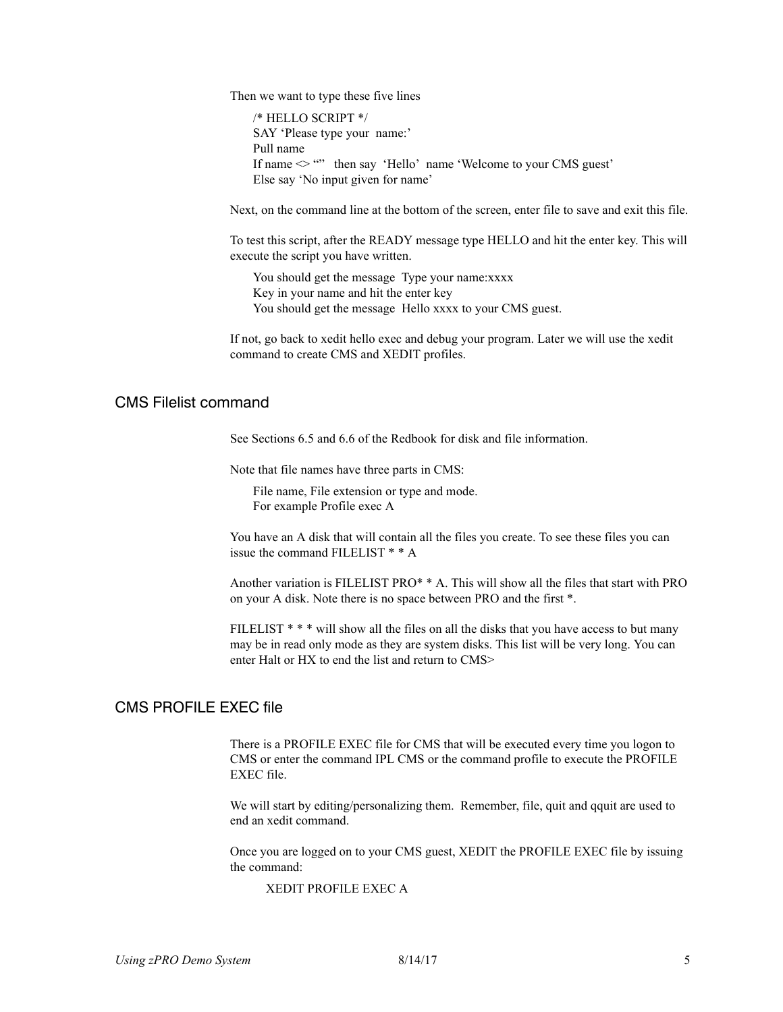Then we want to type these five lines

/\* HELLO SCRIPT \*/ SAY 'Please type your name:' Pull name If name  $\leq$  "" then say 'Hello' name 'Welcome to your CMS guest' Else say 'No input given for name'

Next, on the command line at the bottom of the screen, enter file to save and exit this file.

To test this script, after the READY message type HELLO and hit the enter key. This will execute the script you have written.

You should get the message Type your name:xxxx Key in your name and hit the enter key You should get the message Hello xxxx to your CMS guest.

If not, go back to xedit hello exec and debug your program. Later we will use the xedit command to create CMS and XEDIT profiles.

### CMS Filelist command

See Sections 6.5 and 6.6 of the Redbook for disk and file information.

Note that file names have three parts in CMS:

File name, File extension or type and mode. For example Profile exec A

You have an A disk that will contain all the files you create. To see these files you can issue the command FILELIST \* \* A

Another variation is FILELIST PRO\* \* A. This will show all the files that start with PRO on your A disk. Note there is no space between PRO and the first \*.

FILELIST  $***$  will show all the files on all the disks that you have access to but many may be in read only mode as they are system disks. This list will be very long. You can enter Halt or HX to end the list and return to CMS>

#### CMS PROFILE EXEC file

There is a PROFILE EXEC file for CMS that will be executed every time you logon to CMS or enter the command IPL CMS or the command profile to execute the PROFILE EXEC file.

We will start by editing/personalizing them. Remember, file, quit and qquit are used to end an xedit command.

Once you are logged on to your CMS guest, XEDIT the PROFILE EXEC file by issuing the command:

XEDIT PROFILE EXEC A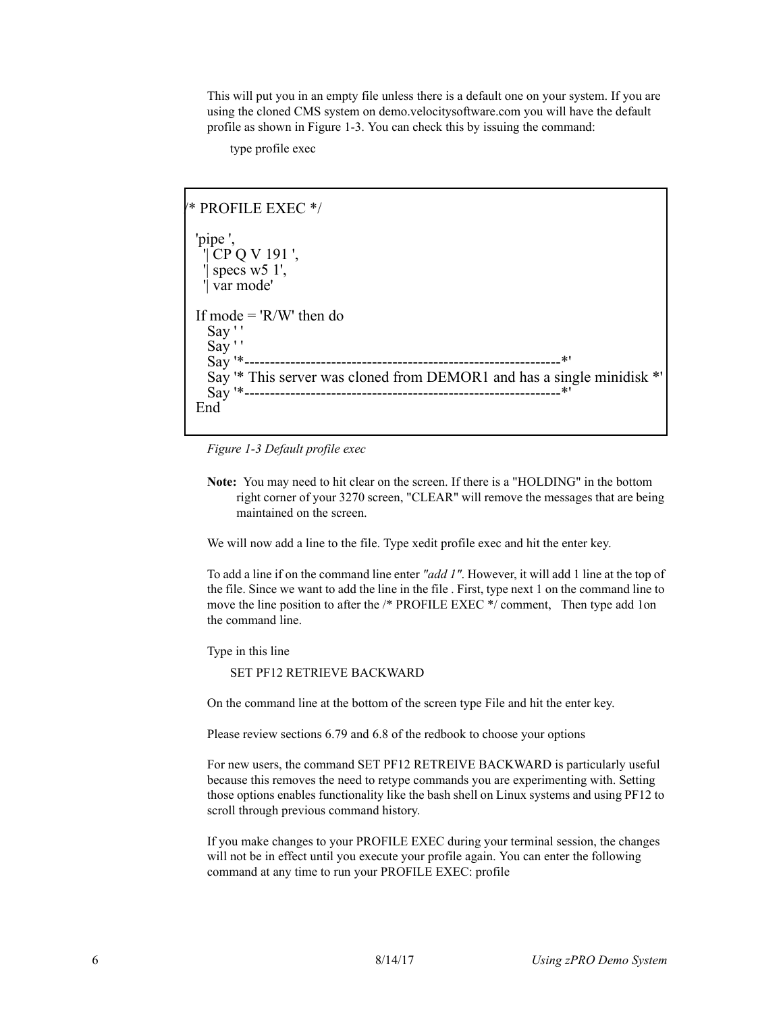This will put you in an empty file unless there is a default one on your system. If you are using the cloned CMS system on demo.velocitysoftware.com you will have the default profile as shown in [Figure 1-3.](#page-5-0) You can check this by issuing the command:

type profile exec

```
/* PROFILE EXEC */ 
\overline{\phantom{a}} 'pipe ', 
     '| CP Q V 191 ', 
    '| specs w5 1', 
    '| var mode' 
\overline{\phantom{a}} If mode = 'R/W' then do 
     Say ' ' 
     Say ' ' 
     Say '*--------------------------------------------------------------*' 
     Say '* This server was cloned from DEMOR1 and has a single minidisk *' 
     Say '*--------------------------------------------------------------*' 
  End
```
<span id="page-5-0"></span>*Figure 1-3 Default profile exec*

**Note:** You may need to hit clear on the screen. If there is a "HOLDING" in the bottom right corner of your 3270 screen, "CLEAR" will remove the messages that are being maintained on the screen.

We will now add a line to the file. Type xedit profile exec and hit the enter key.

To add a line if on the command line enter *"add 1"*. However, it will add 1 line at the top of the file. Since we want to add the line in the file . First, type next 1 on the command line to move the line position to after the /\* PROFILE EXEC \*/ comment, Then type add 1on the command line.

Type in this line

SET PF12 RETRIEVE BACKWARD

On the command line at the bottom of the screen type File and hit the enter key.

Please review sections 6.79 and 6.8 of the redbook to choose your options

For new users, the command SET PF12 RETREIVE BACKWARD is particularly useful because this removes the need to retype commands you are experimenting with. Setting those options enables functionality like the bash shell on Linux systems and using PF12 to scroll through previous command history.

If you make changes to your PROFILE EXEC during your terminal session, the changes will not be in effect until you execute your profile again. You can enter the following command at any time to run your PROFILE EXEC: profile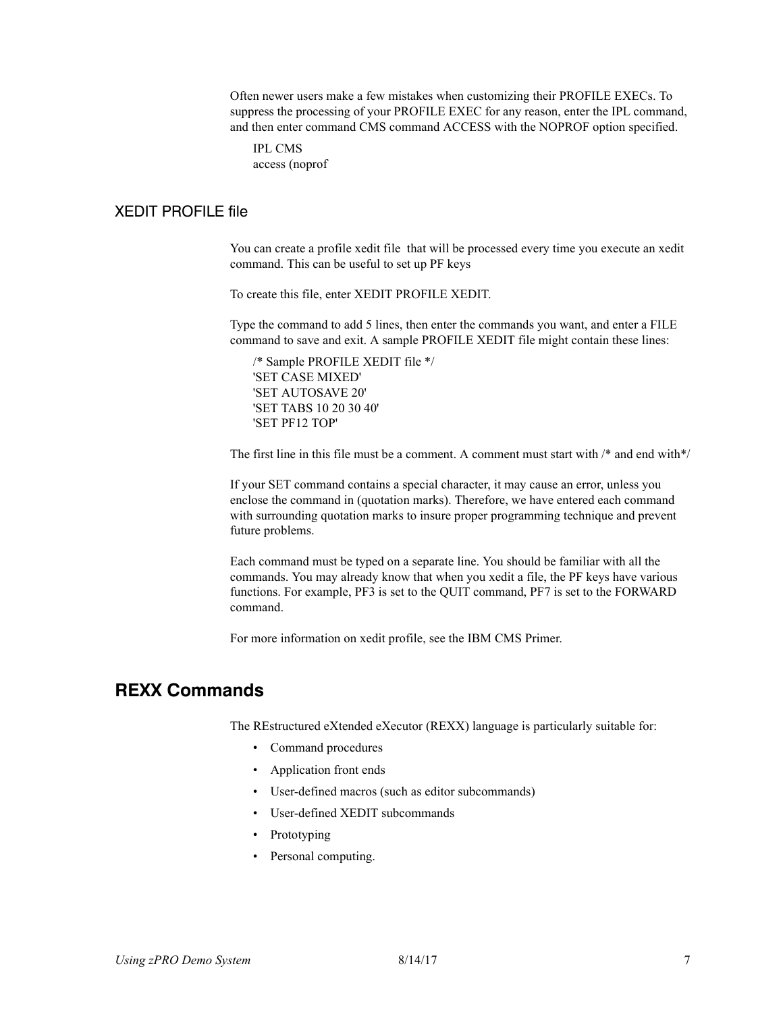Often newer users make a few mistakes when customizing their PROFILE EXECs. To suppress the processing of your PROFILE EXEC for any reason, enter the IPL command, and then enter command CMS command ACCESS with the NOPROF option specified.

IPL CMS access (noprof

## XEDIT PROFILE file

You can create a profile xedit file that will be processed every time you execute an xedit command. This can be useful to set up PF keys

To create this file, enter XEDIT PROFILE XEDIT.

Type the command to add 5 lines, then enter the commands you want, and enter a FILE command to save and exit. A sample PROFILE XEDIT file might contain these lines:

/\* Sample PROFILE XEDIT file \*/ 'SET CASE MIXED' 'SET AUTOSAVE 20' 'SET TABS 10 20 30 40' 'SET PF12 TOP'

The first line in this file must be a comment. A comment must start with /\* and end with\*/

If your SET command contains a special character, it may cause an error, unless you enclose the command in (quotation marks). Therefore, we have entered each command with surrounding quotation marks to insure proper programming technique and prevent future problems.

Each command must be typed on a separate line. You should be familiar with all the commands. You may already know that when you xedit a file, the PF keys have various functions. For example, PF3 is set to the QUIT command, PF7 is set to the FORWARD command.

For more information on xedit profile, see the IBM CMS Primer.

# **REXX Commands**

The REstructured eXtended eXecutor (REXX) language is particularly suitable for:

- Command procedures
- Application front ends
- User-defined macros (such as editor subcommands)
- User-defined XEDIT subcommands
- Prototyping
- Personal computing.